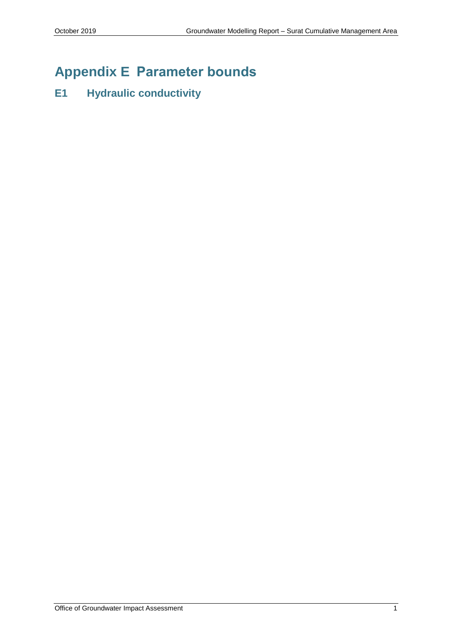# **Appendix E Parameter bounds**

## **E1 Hydraulic conductivity**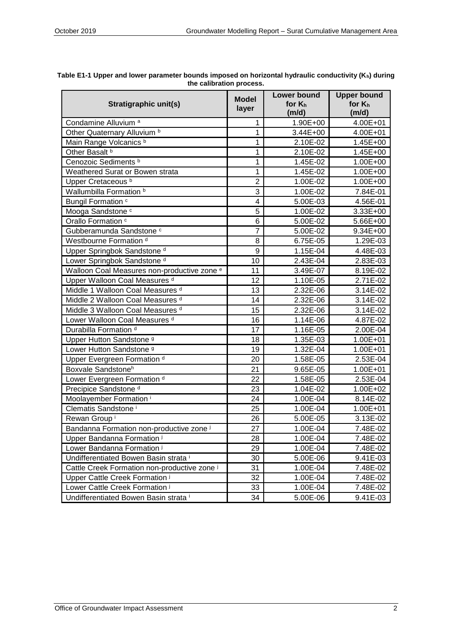| Stratigraphic unit(s)                                  | <b>Model</b><br>layer | <b>Lower bound</b><br>for $K_h$<br>(m/d) | <b>Upper bound</b><br>for $K_h$<br>(m/d) |
|--------------------------------------------------------|-----------------------|------------------------------------------|------------------------------------------|
| Condamine Alluvium <sup>a</sup>                        | 1                     | 1.90E+00                                 | 4.00E+01                                 |
| Other Quaternary Alluvium <sup>b</sup>                 | 1                     | 3.44E+00                                 | 4.00E+01                                 |
| Main Range Volcanics b                                 | 1                     | 2.10E-02                                 | $1.45E + 00$                             |
| Other Basalt b                                         | 1                     | 2.10E-02                                 | 1.45E+00                                 |
| Cenozoic Sediments <sup>b</sup>                        | 1                     | 1.45E-02                                 | 1.00E+00                                 |
| Weathered Surat or Bowen strata                        | 1                     | 1.45E-02                                 | 1.00E+00                                 |
| Upper Cretaceous <sup>b</sup>                          | $\overline{2}$        | 1.00E-02                                 | 1.00E+00                                 |
| Wallumbilla Formation b                                | 3                     | 1.00E-02                                 | 7.84E-01                                 |
| Bungil Formation <sup>c</sup>                          | 4                     | 5.00E-03                                 | 4.56E-01                                 |
| Mooga Sandstone c                                      | 5                     | 1.00E-02                                 | 3.33E+00                                 |
| Orallo Formation <sup>c</sup>                          | 6                     | 5.00E-02                                 | 5.66E+00                                 |
| Gubberamunda Sandstone c                               | $\overline{7}$        | 5.00E-02                                 | 9.34E+00                                 |
| Westbourne Formation <sup>d</sup>                      | 8                     | 6.75E-05                                 | 1.29E-03                                 |
| Upper Springbok Sandstone <sup>d</sup>                 | 9                     | 1.15E-04                                 | 4.48E-03                                 |
| Lower Springbok Sandstone <sup>d</sup>                 | 10                    | 2.43E-04                                 | 2.83E-03                                 |
| Walloon Coal Measures non-productive zone <sup>e</sup> | 11                    | 3.49E-07                                 | 8.19E-02                                 |
| Upper Walloon Coal Measures d                          | 12                    | 1.10E-05                                 | 2.71E-02                                 |
| Middle 1 Walloon Coal Measures d                       | 13                    | 2.32E-06                                 | 3.14E-02                                 |
| Middle 2 Walloon Coal Measures d                       | 14                    | 2.32E-06                                 | 3.14E-02                                 |
| Middle 3 Walloon Coal Measures d                       | 15                    | 2.32E-06                                 | 3.14E-02                                 |
| Lower Walloon Coal Measures d                          | 16                    | 1.14E-06                                 | 4.87E-02                                 |
| Durabilla Formation <sup>d</sup>                       | 17                    | 1.16E-05                                 | 2.00E-04                                 |
| Upper Hutton Sandstone <sup>9</sup>                    | 18                    | 1.35E-03                                 | 1.00E+01                                 |
| Lower Hutton Sandstone <sup>9</sup>                    | 19                    | 1.32E-04                                 | 1.00E+01                                 |
| Upper Evergreen Formation d                            | 20                    | 1.58E-05                                 | 2.53E-04                                 |
| Boxvale Sandstoneh                                     | 21                    | 9.65E-05                                 | 1.00E+01                                 |
| Lower Evergreen Formation d                            | 22                    | 1.58E-05                                 | 2.53E-04                                 |
| Precipice Sandstone <sup>d</sup>                       | 23                    | 1.04E-02                                 | 1.00E+02                                 |
| Moolayember Formation <sup>i</sup>                     | 24                    | 1.00E-04                                 | 8.14E-02                                 |
| Clematis Sandstone <sup>i</sup>                        | 25                    | 1.00E-04                                 | 1.00E+01                                 |
| Rewan Group <sup>i</sup>                               | 26                    | 5.00E-05                                 | 3.13E-02                                 |
| Bandanna Formation non-productive zone i               | 27                    | 1.00E-04                                 | 7.48E-02                                 |
| Upper Bandanna Formation i                             | 28                    | 1.00E-04                                 | 7.48E-02                                 |
| Lower Bandanna Formation i                             | 29                    | 1.00E-04                                 | 7.48E-02                                 |
| Undifferentiated Bowen Basin strata i                  | 30                    | 5.00E-06                                 | 9.41E-03                                 |
| Cattle Creek Formation non-productive zone i           | 31                    | 1.00E-04                                 | 7.48E-02                                 |
| Upper Cattle Creek Formation i                         | 32                    | 1.00E-04                                 | 7.48E-02                                 |
| Lower Cattle Creek Formation i                         | 33                    | 1.00E-04                                 | 7.48E-02                                 |
| Undifferentiated Bowen Basin strata i                  | 34                    | 5.00E-06                                 | 9.41E-03                                 |

| Table E1-1 Upper and lower parameter bounds imposed on horizontal hydraulic conductivity (K <sub>h</sub> ) during |  |
|-------------------------------------------------------------------------------------------------------------------|--|
| the calibration process.                                                                                          |  |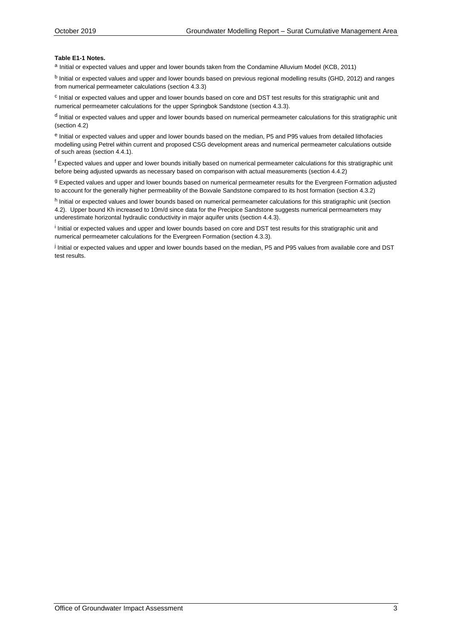### **Table E1-1 Notes.**

a Initial or expected values and upper and lower bounds taken from the Condamine Alluvium Model (KCB, 2011)

<sup>b</sup> Initial or expected values and upper and lower bounds based on previous regional modelling results (GHD, 2012) and ranges from numerical permeameter calculations (section 4.3.3)

<sup>c</sup> Initial or expected values and upper and lower bounds based on core and DST test results for this stratigraphic unit and numerical permeameter calculations for the upper Springbok Sandstone (section 4.3.3).

<sup>d</sup> Initial or expected values and upper and lower bounds based on numerical permeameter calculations for this stratigraphic unit (section 4.2)

e Initial or expected values and upper and lower bounds based on the median, P5 and P95 values from detailed lithofacies modelling using Petrel within current and proposed CSG development areas and numerical permeameter calculations outside of such areas (section 4.4.1).

<sup>f</sup> Expected values and upper and lower bounds initially based on numerical permeameter calculations for this stratigraphic unit before being adjusted upwards as necessary based on comparison with actual measurements (section 4.4.2)

g Expected values and upper and lower bounds based on numerical permeameter results for the Evergreen Formation adjusted to account for the generally higher permeability of the Boxvale Sandstone compared to its host formation (section 4.3.2)

h Initial or expected values and lower bounds based on numerical permeameter calculations for this stratigraphic unit (section 4.2). Upper bound Kh increased to 10m/d since data for the Precipice Sandstone suggests numerical permeameters may underestimate horizontal hydraulic conductivity in major aquifer units (section 4.4.3).

<sup>i</sup> Initial or expected values and upper and lower bounds based on core and DST test results for this stratigraphic unit and numerical permeameter calculations for the Evergreen Formation (section 4.3.3).

j Initial or expected values and upper and lower bounds based on the median, P5 and P95 values from available core and DST test results.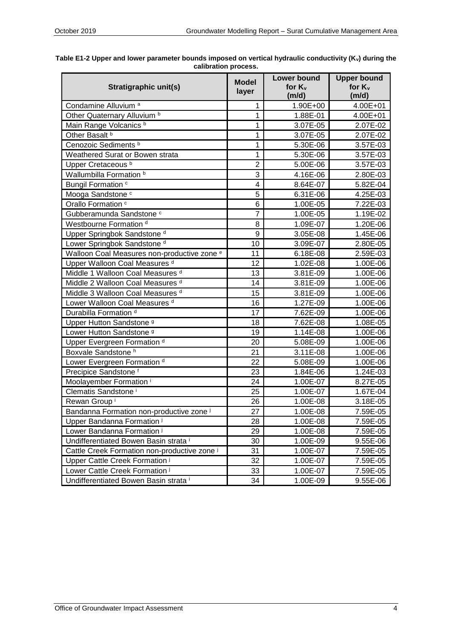| Stratigraphic unit(s)                                  | <b>Model</b><br>layer | <b>Lower bound</b><br>for $K_v$<br>(m/d) | <b>Upper bound</b><br>for $K_v$<br>(m/d) |
|--------------------------------------------------------|-----------------------|------------------------------------------|------------------------------------------|
| Condamine Alluvium <sup>a</sup>                        | 1                     | 1.90E+00                                 | 4.00E+01                                 |
| Other Quaternary Alluvium <sup>b</sup>                 | 1                     | 1.88E-01                                 | 4.00E+01                                 |
| Main Range Volcanics b                                 | 1                     | 3.07E-05                                 | 2.07E-02                                 |
| Other Basalt b                                         | 1                     | 3.07E-05                                 | 2.07E-02                                 |
| Cenozoic Sediments <sup>b</sup>                        | 1                     | 5.30E-06                                 | 3.57E-03                                 |
| Weathered Surat or Bowen strata                        | 1                     | 5.30E-06                                 | 3.57E-03                                 |
| Upper Cretaceous <sup>b</sup>                          | $\overline{2}$        | 5.00E-06                                 | 3.57E-03                                 |
| Wallumbilla Formation b                                | 3                     | 4.16E-06                                 | 2.80E-03                                 |
| Bungil Formation c                                     | 4                     | 8.64E-07                                 | 5.82E-04                                 |
| Mooga Sandstone c                                      | 5                     | 6.31E-06                                 | 4.25E-03                                 |
| Orallo Formation c                                     | 6                     | 1.00E-05                                 | 7.22E-03                                 |
| Gubberamunda Sandstone c                               | $\overline{7}$        | 1.00E-05                                 | 1.19E-02                                 |
| Westbourne Formation d                                 | 8                     | 1.09E-07                                 | 1.20E-06                                 |
| Upper Springbok Sandstone <sup>d</sup>                 | 9                     | 3.05E-08                                 | 1.45E-06                                 |
| Lower Springbok Sandstone <sup>d</sup>                 | 10                    | 3.09E-07                                 | 2.80E-05                                 |
| Walloon Coal Measures non-productive zone <sup>e</sup> | 11                    | 6.18E-08                                 | 2.59E-03                                 |
| Upper Walloon Coal Measures d                          | 12                    | 1.02E-08                                 | 1.00E-06                                 |
| Middle 1 Walloon Coal Measures d                       | 13                    | 3.81E-09                                 | 1.00E-06                                 |
| Middle 2 Walloon Coal Measures d                       | 14                    | 3.81E-09                                 | 1.00E-06                                 |
| Middle 3 Walloon Coal Measures d                       | 15                    | 3.81E-09                                 | 1.00E-06                                 |
| Lower Walloon Coal Measures d                          | 16                    | 1.27E-09                                 | 1.00E-06                                 |
| Durabilla Formation <sup>d</sup>                       | 17                    | 7.62E-09                                 | 1.00E-06                                 |
| Upper Hutton Sandstone <sup>9</sup>                    | 18                    | 7.62E-08                                 | 1.08E-05                                 |
| Lower Hutton Sandstone <sup>9</sup>                    | 19                    | 1.14E-08                                 | 1.00E-06                                 |
| Upper Evergreen Formation d                            | 20                    | 5.08E-09                                 | 1.00E-06                                 |
| Boxvale Sandstone h                                    | 21                    | 3.11E-08                                 | 1.00E-06                                 |
| Lower Evergreen Formation d                            | 22                    | 5.08E-09                                 | 1.00E-06                                 |
| Precipice Sandstone <sup>f</sup>                       | 23                    | 1.84E-06                                 | 1.24E-03                                 |
| Moolayember Formation <sup>i</sup>                     | 24                    | 1.00E-07                                 | 8.27E-05                                 |
| Clematis Sandstone <sup>i</sup>                        | 25                    | 1.00E-07                                 | 1.67E-04                                 |
| Rewan Group <sup>i</sup>                               | 26                    | 1.00E-08                                 | 3.18E-05                                 |
| Bandanna Formation non-productive zone i               | 27                    | 1.00E-08                                 | $7.59E - 05$                             |
| Upper Bandanna Formation i                             | 28                    | 1.00E-08                                 | 7.59E-05                                 |
| Lower Bandanna Formation i                             | 29                    | 1.00E-08                                 | 7.59E-05                                 |
| Undifferentiated Bowen Basin strata i                  | 30                    | 1.00E-09                                 | 9.55E-06                                 |
| Cattle Creek Formation non-productive zone i           | 31                    | 1.00E-07                                 | 7.59E-05                                 |
| Upper Cattle Creek Formation i                         | 32                    | 1.00E-07                                 | 7.59E-05                                 |
| Lower Cattle Creek Formation i                         | 33                    | 1.00E-07                                 | 7.59E-05                                 |
| Undifferentiated Bowen Basin strata i                  | 34                    | 1.00E-09                                 | 9.55E-06                                 |

| Table E1-2 Upper and lower parameter bounds imposed on vertical hydraulic conductivity (K <sub>v</sub> ) during the |  |  |  |
|---------------------------------------------------------------------------------------------------------------------|--|--|--|
| calibration process.                                                                                                |  |  |  |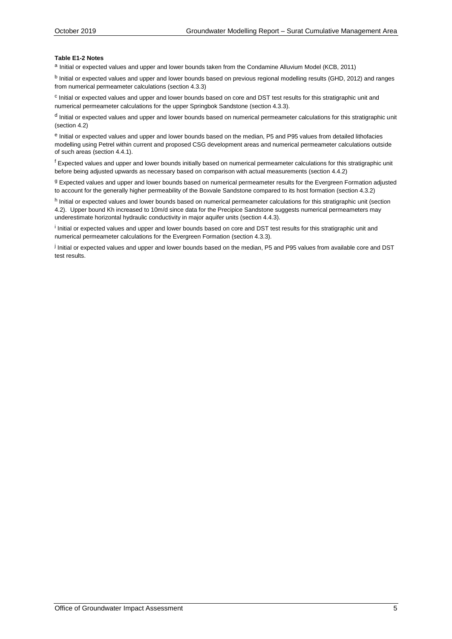### **Table E1-2 Notes**

a Initial or expected values and upper and lower bounds taken from the Condamine Alluvium Model (KCB, 2011)

<sup>b</sup> Initial or expected values and upper and lower bounds based on previous regional modelling results (GHD, 2012) and ranges from numerical permeameter calculations (section 4.3.3)

<sup>c</sup> Initial or expected values and upper and lower bounds based on core and DST test results for this stratigraphic unit and numerical permeameter calculations for the upper Springbok Sandstone (section 4.3.3).

<sup>d</sup> Initial or expected values and upper and lower bounds based on numerical permeameter calculations for this stratigraphic unit (section 4.2)

e Initial or expected values and upper and lower bounds based on the median, P5 and P95 values from detailed lithofacies modelling using Petrel within current and proposed CSG development areas and numerical permeameter calculations outside of such areas (section 4.4.1).

<sup>f</sup> Expected values and upper and lower bounds initially based on numerical permeameter calculations for this stratigraphic unit before being adjusted upwards as necessary based on comparison with actual measurements (section 4.4.2)

g Expected values and upper and lower bounds based on numerical permeameter results for the Evergreen Formation adjusted to account for the generally higher permeability of the Boxvale Sandstone compared to its host formation (section 4.3.2)

h Initial or expected values and lower bounds based on numerical permeameter calculations for this stratigraphic unit (section 4.2). Upper bound Kh increased to 10m/d since data for the Precipice Sandstone suggests numerical permeameters may underestimate horizontal hydraulic conductivity in major aquifer units (section 4.4.3).

<sup>i</sup> Initial or expected values and upper and lower bounds based on core and DST test results for this stratigraphic unit and numerical permeameter calculations for the Evergreen Formation (section 4.3.3).

j Initial or expected values and upper and lower bounds based on the median, P5 and P95 values from available core and DST test results.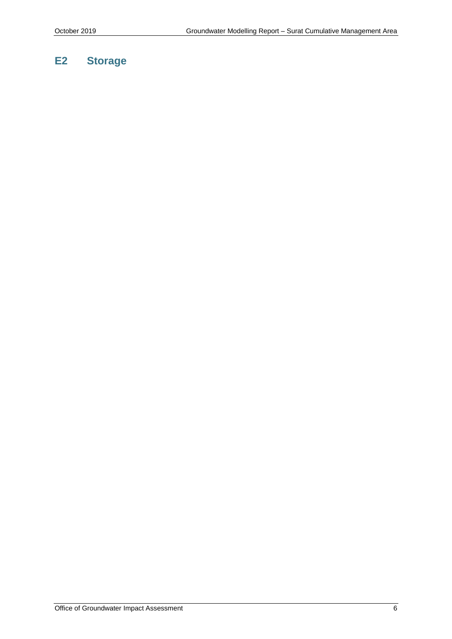## **E2 Storage**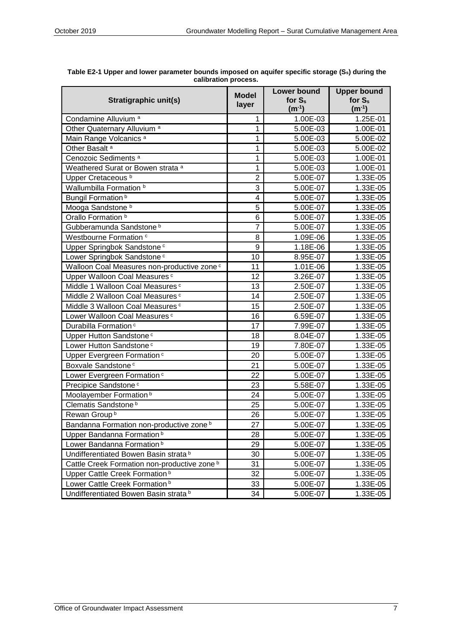| Stratigraphic unit(s)                                   | <b>Model</b><br>layer   | <b>Lower bound</b><br>for $S_s$<br>$(m^{-1})$ | <b>Upper bound</b><br>for $S_s$<br>$(m-1)$ |
|---------------------------------------------------------|-------------------------|-----------------------------------------------|--------------------------------------------|
| Condamine Alluvium <sup>a</sup>                         | 1                       | 1.00E-03                                      | 1.25E-01                                   |
| Other Quaternary Alluvium <sup>a</sup>                  | 1                       | 5.00E-03                                      | 1.00E-01                                   |
| Main Range Volcanics <sup>a</sup>                       | 1                       | 5.00E-03                                      | 5.00E-02                                   |
| Other Basalt <sup>a</sup>                               | 1                       | 5.00E-03                                      | 5.00E-02                                   |
| Cenozoic Sediments <sup>a</sup>                         | 1                       | 5.00E-03                                      | 1.00E-01                                   |
| Weathered Surat or Bowen strata <sup>a</sup>            | 1                       | 5.00E-03                                      | 1.00E-01                                   |
| Upper Cretaceous <sup>b</sup>                           | $\overline{2}$          | 5.00E-07                                      | 1.33E-05                                   |
| Wallumbilla Formation b                                 | 3                       | 5.00E-07                                      | 1.33E-05                                   |
| <b>Bungil Formation</b> <sup>b</sup>                    | $\overline{\mathbf{4}}$ | 5.00E-07                                      | 1.33E-05                                   |
| Mooga Sandstone b                                       | 5                       | 5.00E-07                                      | 1.33E-05                                   |
| Orallo Formation <sup>b</sup>                           | 6                       | 5.00E-07                                      | 1.33E-05                                   |
| Gubberamunda Sandstone b                                | 7                       | 5.00E-07                                      | 1.33E-05                                   |
| Westbourne Formation c                                  | 8                       | 1.09E-06                                      | 1.33E-05                                   |
| Upper Springbok Sandstone <sup>c</sup>                  | 9                       | 1.18E-06                                      | 1.33E-05                                   |
| Lower Springbok Sandstone <sup>c</sup>                  | 10                      | 8.95E-07                                      | 1.33E-05                                   |
| Walloon Coal Measures non-productive zone <sup>c</sup>  | 11                      | 1.01E-06                                      | 1.33E-05                                   |
| Upper Walloon Coal Measures <sup>c</sup>                | 12                      | 3.26E-07                                      | 1.33E-05                                   |
| Middle 1 Walloon Coal Measures <sup>c</sup>             | 13                      | 2.50E-07                                      | 1.33E-05                                   |
| Middle 2 Walloon Coal Measures c                        | 14                      | 2.50E-07                                      | 1.33E-05                                   |
| Middle 3 Walloon Coal Measures c                        | 15                      | 2.50E-07                                      | 1.33E-05                                   |
| Lower Walloon Coal Measures <sup>c</sup>                | 16                      | 6.59E-07                                      | 1.33E-05                                   |
| Durabilla Formation <sup>c</sup>                        | 17                      | 7.99E-07                                      | 1.33E-05                                   |
| Upper Hutton Sandstone <sup>c</sup>                     | 18                      | 8.04E-07                                      | 1.33E-05                                   |
| Lower Hutton Sandstone <sup>c</sup>                     | 19                      | 7.80E-07                                      | 1.33E-05                                   |
| Upper Evergreen Formation <sup>c</sup>                  | 20                      | 5.00E-07                                      | 1.33E-05                                   |
| Boxvale Sandstone <sup>c</sup>                          | 21                      | 5.00E-07                                      | 1.33E-05                                   |
| Lower Evergreen Formation <sup>c</sup>                  | 22                      | 5.00E-07                                      | 1.33E-05                                   |
| Precipice Sandstone <sup>c</sup>                        | 23                      | 5.58E-07                                      | 1.33E-05                                   |
| Moolayember Formation <sup>b</sup>                      | 24                      | 5.00E-07                                      | 1.33E-05                                   |
| Clematis Sandstone <sup>b</sup>                         | 25                      | 5.00E-07                                      | 1.33E-05                                   |
| Rewan Group <sup>b</sup>                                | 26                      | 5.00E-07                                      | 1.33E-05                                   |
| Bandanna Formation non-productive zone <sup>b</sup>     | 27                      | 5.00E-07                                      | 1.33E-05                                   |
| Upper Bandanna Formation <sup>b</sup>                   | 28                      | 5.00E-07                                      | 1.33E-05                                   |
| Lower Bandanna Formation <sup>b</sup>                   | 29                      | 5.00E-07                                      | 1.33E-05                                   |
| Undifferentiated Bowen Basin strata b                   | 30                      | 5.00E-07                                      | 1.33E-05                                   |
| Cattle Creek Formation non-productive zone <sup>b</sup> | 31                      | 5.00E-07                                      | 1.33E-05                                   |
| Upper Cattle Creek Formation <sup>b</sup>               | 32                      | 5.00E-07                                      | 1.33E-05                                   |
| Lower Cattle Creek Formation <sup>b</sup>               | 33                      | 5.00E-07                                      | 1.33E-05                                   |
| Undifferentiated Bowen Basin strata <sup>b</sup>        | 34                      | 5.00E-07                                      | 1.33E-05                                   |

**Table E2-1 Upper and lower parameter bounds imposed on aquifer specific storage (Ss) during the calibration process.**